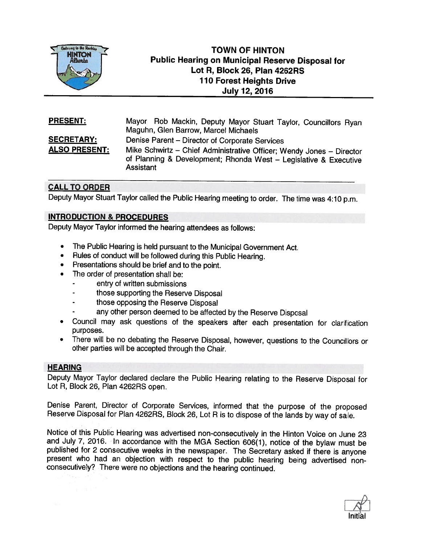

# TOWN OF HINTON Public Hearing on Municipal Reserve Disposal for Lot R, Block 26, Plan 4262RS 110 Forest Heights Drive July 12, 2016

| <b>PRESENT:</b>      | Mayor Rob Mackin, Deputy Mayor Stuart Taylor, Councillors Ryan<br>Maguhn, Glen Barrow, Marcel Michaels                                                |
|----------------------|-------------------------------------------------------------------------------------------------------------------------------------------------------|
| <b>SECRETARY:</b>    | Denise Parent - Director of Corporate Services                                                                                                        |
| <b>ALSO PRESENT:</b> | Mike Schwirtz - Chief Administrative Officer; Wendy Jones - Director<br>of Planning & Development; Rhonda West - Legislative & Executive<br>Assistant |

## CALL TO ORDER

Deputy Mayor Stuart Taylor called the Public Hearing meeting to order. The time was 4:10 p.m.

## INTRODUCTION & PROCEDURES

Deputy Mayor Taylor informed the hearing attendees as follows:

- •The Public Hearing is held pursuant to the Municipal Government Act.
- •Rules of conduct will be followed during this Public Hearing.
- •Presentations should be brief and to the point.
- • The order of presentation shall be:
	- entry of written submissions
	- those supporting the Reserve Disposal
	- those opposing the Reserve Disposal
	- any other person deemed to be affected by the Reserve Disposal
- • Council may ask questions of the speakers after each presentation for clarification purposes.
- • There will be no debating the Reserve Disposal, however, questions to the Councillors or other parties will be accepted through the Chair.

#### HEARING

Deputy Mayor Taylor declared declare the Public Hearing relating to the Reserve Disposal for Lot R, Block 26, Plan 4262RS open.

Denise Parent, Director of Corporate Services, informed that the purpose of the proposed Reserve Disposal for Plan 4262RS, Block 26, Lot <sup>R</sup> is to dispose of the lands by way of sale.

Notice of this Public Hearing was advertised non-consecutively in the Hinton Voice on June 23 and July 7, 2016. In accordance with the MGA Section 606(1), notice of the bylaw must be published for 2 consecutive weeks in th present who had an objection with respect to the public hearing being advertised non-consecutively? There were no objections and the hearing continued.